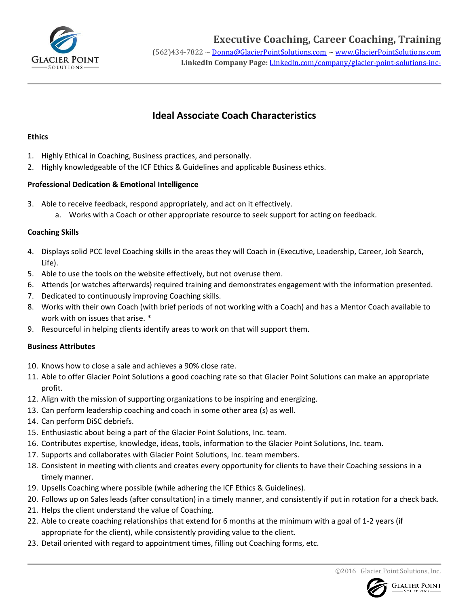

# **Ideal Associate Coach Characteristics**

### **Ethics**

- 1. Highly Ethical in Coaching, Business practices, and personally.
- 2. Highly knowledgeable of the ICF Ethics & Guidelines and applicable Business ethics.

### **Professional Dedication & Emotional Intelligence**

- 3. Able to receive feedback, respond appropriately, and act on it effectively.
	- a. Works with a Coach or other appropriate resource to seek support for acting on feedback.

### **Coaching Skills**

- 4. Displays solid PCC level Coaching skills in the areas they will Coach in (Executive, Leadership, Career, Job Search, Life).
- 5. Able to use the tools on the website effectively, but not overuse them.
- 6. Attends (or watches afterwards) required training and demonstrates engagement with the information presented.
- 7. Dedicated to continuously improving Coaching skills.
- 8. Works with their own Coach (with brief periods of not working with a Coach) and has a Mentor Coach available to work with on issues that arise. \*
- 9. Resourceful in helping clients identify areas to work on that will support them.

## **Business Attributes**

- 10. Knows how to close a sale and achieves a 90% close rate.
- 11. Able to offer Glacier Point Solutions a good coaching rate so that Glacier Point Solutions can make an appropriate profit.
- 12. Align with the mission of supporting organizations to be inspiring and energizing.
- 13. Can perform leadership coaching and coach in some other area (s) as well.
- 14. Can perform DiSC debriefs.
- 15. Enthusiastic about being a part of the Glacier Point Solutions, Inc. team.
- 16. Contributes expertise, knowledge, ideas, tools, information to the Glacier Point Solutions, Inc. team.
- 17. Supports and collaborates with Glacier Point Solutions, Inc. team members.
- 18. Consistent in meeting with clients and creates every opportunity for clients to have their Coaching sessions in a timely manner.
- 19. Upsells Coaching where possible (while adhering the ICF Ethics & Guidelines).
- 20. Follows up on Sales leads (after consultation) in a timely manner, and consistently if put in rotation for a check back.
- 21. Helps the client understand the value of Coaching.
- 22. Able to create coaching relationships that extend for 6 months at the minimum with a goal of 1-2 years (if appropriate for the client), while consistently providing value to the client.
- 23. Detail oriented with regard to appointment times, filling out Coaching forms, etc.